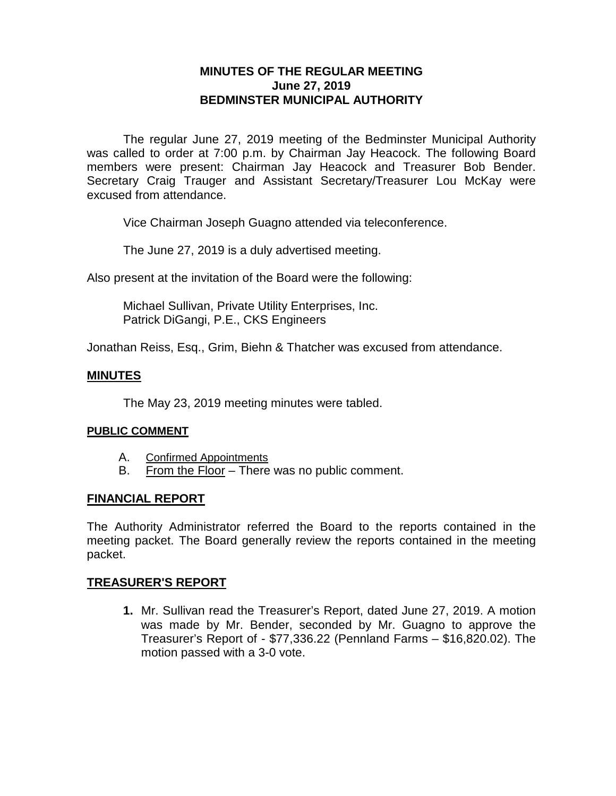# **MINUTES OF THE REGULAR MEETING June 27, 2019 BEDMINSTER MUNICIPAL AUTHORITY**

The regular June 27, 2019 meeting of the Bedminster Municipal Authority was called to order at 7:00 p.m. by Chairman Jay Heacock. The following Board members were present: Chairman Jay Heacock and Treasurer Bob Bender. Secretary Craig Trauger and Assistant Secretary/Treasurer Lou McKay were excused from attendance.

Vice Chairman Joseph Guagno attended via teleconference.

The June 27, 2019 is a duly advertised meeting.

Also present at the invitation of the Board were the following:

Michael Sullivan, Private Utility Enterprises, Inc. Patrick DiGangi, P.E., CKS Engineers

Jonathan Reiss, Esq., Grim, Biehn & Thatcher was excused from attendance.

### **MINUTES**

The May 23, 2019 meeting minutes were tabled.

### **PUBLIC COMMENT**

- A. Confirmed Appointments
- B. From the Floor There was no public comment.

### **FINANCIAL REPORT**

The Authority Administrator referred the Board to the reports contained in the meeting packet. The Board generally review the reports contained in the meeting packet.

### **TREASURER'S REPORT**

**1.** Mr. Sullivan read the Treasurer's Report, dated June 27, 2019. A motion was made by Mr. Bender, seconded by Mr. Guagno to approve the Treasurer's Report of - \$77,336.22 (Pennland Farms – \$16,820.02). The motion passed with a 3-0 vote.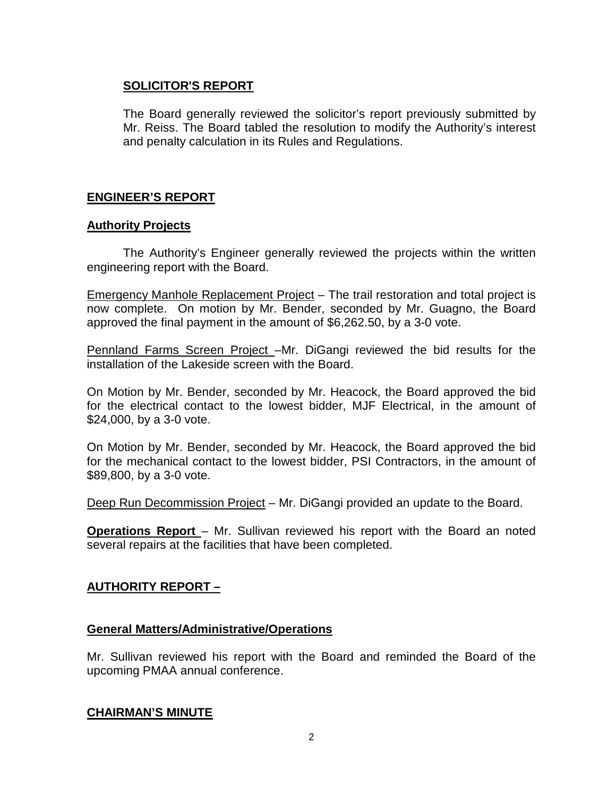# **SOLICITOR'S REPORT**

The Board generally reviewed the solicitor's report previously submitted by Mr. Reiss. The Board tabled the resolution to modify the Authority's interest and penalty calculation in its Rules and Regulations.

# **ENGINEER'S REPORT**

### **Authority Projects**

The Authority's Engineer generally reviewed the projects within the written engineering report with the Board.

Emergency Manhole Replacement Project – The trail restoration and total project is now complete. On motion by Mr. Bender, seconded by Mr. Guagno, the Board approved the final payment in the amount of \$6,262.50, by a 3-0 vote.

Pennland Farms Screen Project –Mr. DiGangi reviewed the bid results for the installation of the Lakeside screen with the Board.

On Motion by Mr. Bender, seconded by Mr. Heacock, the Board approved the bid for the electrical contact to the lowest bidder, MJF Electrical, in the amount of \$24,000, by a 3-0 vote.

On Motion by Mr. Bender, seconded by Mr. Heacock, the Board approved the bid for the mechanical contact to the lowest bidder, PSI Contractors, in the amount of \$89,800, by a 3-0 vote.

Deep Run Decommission Project – Mr. DiGangi provided an update to the Board.

**Operations Report** – Mr. Sullivan reviewed his report with the Board an noted several repairs at the facilities that have been completed.

# **AUTHORITY REPORT –**

### **General Matters/Administrative/Operations**

Mr. Sullivan reviewed his report with the Board and reminded the Board of the upcoming PMAA annual conference.

### **CHAIRMAN'S MINUTE**